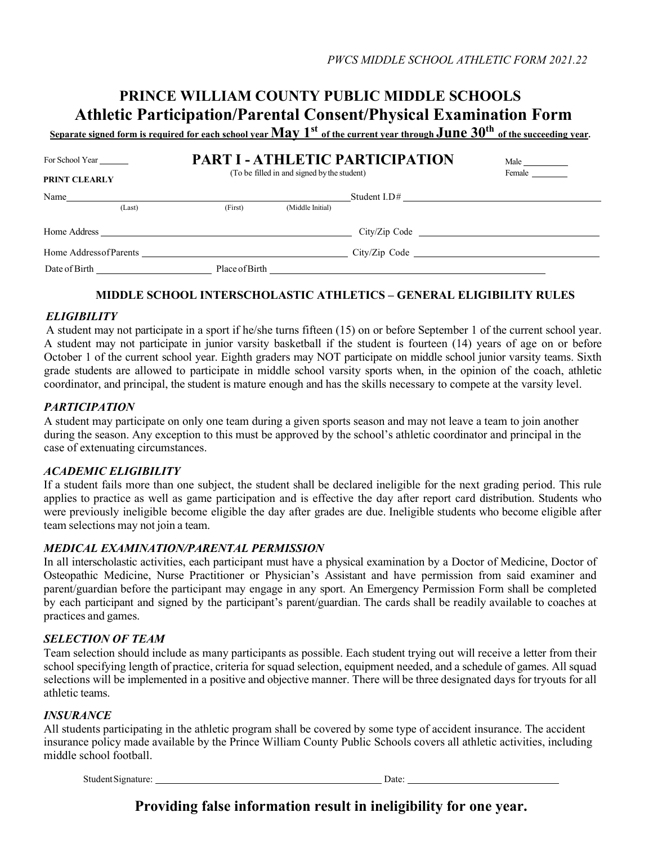# **PRINCE WILLIAM COUNTY PUBLIC MIDDLE SCHOOLS Athletic Participation/Parental Consent/Physical Examination Form**

**Separate signed form is required for each school yearMay 1st of the current year through June 30th of the succeeding year.**

| For School Year                                                                                                                                                                                                                | <b>PART I - ATHLETIC PARTICIPATION</b> | Male                                        |                                                                                                                                                                                                                                      |        |  |
|--------------------------------------------------------------------------------------------------------------------------------------------------------------------------------------------------------------------------------|----------------------------------------|---------------------------------------------|--------------------------------------------------------------------------------------------------------------------------------------------------------------------------------------------------------------------------------------|--------|--|
| <b>PRINT CLEARLY</b>                                                                                                                                                                                                           |                                        | (To be filled in and signed by the student) |                                                                                                                                                                                                                                      | Female |  |
| Name                                                                                                                                                                                                                           |                                        |                                             |                                                                                                                                                                                                                                      |        |  |
| (Last)                                                                                                                                                                                                                         | (First)                                | (Middle Initial)                            |                                                                                                                                                                                                                                      |        |  |
|                                                                                                                                                                                                                                |                                        |                                             |                                                                                                                                                                                                                                      |        |  |
| Home Address of Parents and the state of the state of the state of the state of the state of the state of the state of the state of the state of the state of the state of the state of the state of the state of the state of |                                        |                                             |                                                                                                                                                                                                                                      |        |  |
|                                                                                                                                                                                                                                | Place of Birth                         |                                             | <u>and the state of the state of the state of the state of the state of the state of the state of the state of the state of the state of the state of the state of the state of the state of the state of the state of the state</u> |        |  |

# **MIDDLE SCHOOL INTERSCHOLASTIC ATHLETICS – GENERAL ELIGIBILITY RULES**

# *ELIGIBILITY*

 A student may not participate in a sport if he/she turns fifteen (15) on or before September 1 of the current school year. A student may not participate in junior varsity basketball if the student is fourteen (14) years of age on or before October 1 of the current school year. Eighth graders may NOT participate on middle school junior varsity teams. Sixth grade students are allowed to participate in middle school varsity sports when, in the opinion of the coach, athletic coordinator, and principal, the student is mature enough and has the skills necessary to compete at the varsity level.

# *PARTICIPATION*

A student may participate on only one team during a given sports season and may not leave a team to join another during the season. Any exception to this must be approved by the school's athletic coordinator and principal in the case of extenuating circumstances.

# *ACADEMIC ELIGIBILITY*

If a student fails more than one subject, the student shall be declared ineligible for the next grading period. This rule applies to practice as well as game participation and is effective the day after report card distribution. Students who were previously ineligible become eligible the day after grades are due. Ineligible students who become eligible after team selections may not join a team.

## *MEDICAL EXAMINATION/PARENTAL PERMISSION*

In all interscholastic activities, each participant must have a physical examination by a Doctor of Medicine, Doctor of Osteopathic Medicine, Nurse Practitioner or Physician's Assistant and have permission from said examiner and parent/guardian before the participant may engage in any sport. An Emergency Permission Form shall be completed by each participant and signed by the participant's parent/guardian. The cards shall be readily available to coaches at practices and games.

# *SELECTION OF TEAM*

Team selection should include as many participants as possible. Each student trying out will receive a letter from their school specifying length of practice, criteria for squad selection, equipment needed, and a schedule of games. All squad selections will be implemented in a positive and objective manner. There will be three designated days for tryouts for all athletic teams.

## *INSURANCE*

All students participating in the athletic program shall be covered by some type of accident insurance. The accident insurance policy made available by the Prince William County Public Schools covers all athletic activities, including middle school football.

Student Signature: Date: Date: Date: Date: Date: Date: Date: Date: Date: Date: Date: Date: Date: Date: Date: Date: Date: Date: Date: Date: Date: Date: Date: Date: Date: Date: Date: Date: Date: Date: Date: Date: Date: Date:

**Providing false information result in ineligibility for one year.**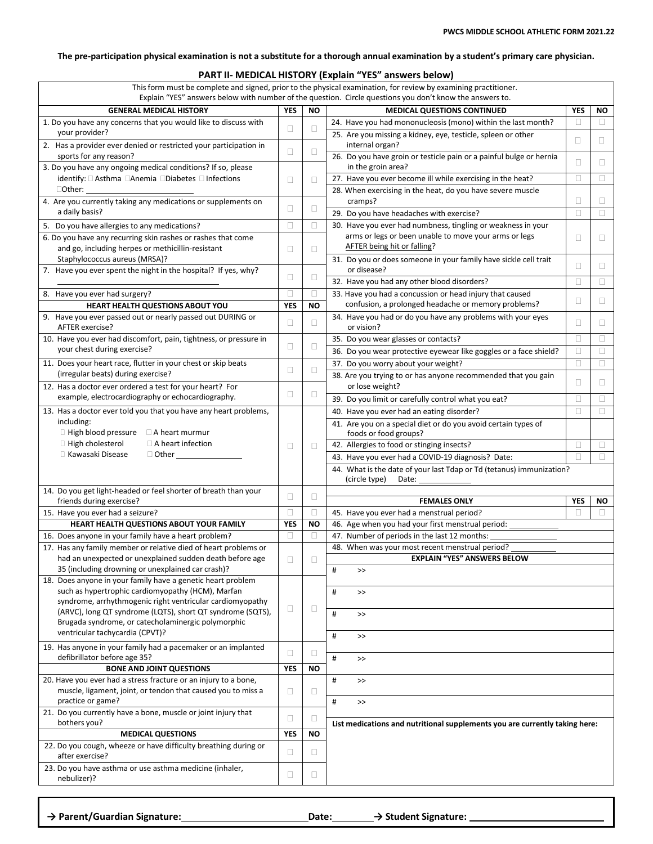### The pre-participation physical examination is not a substitute for a thorough annual examination by a student's primary care physician.

## **PART II- MEDICAL HISTORY (Explain "YES" answers below)**

| This form must be complete and signed, prior to the physical examination, for review by examining practitioner.<br>Explain "YES" answers below with number of the question. Circle questions you don't know the answers to. |                 |                |                                                                                                   |             |        |
|-----------------------------------------------------------------------------------------------------------------------------------------------------------------------------------------------------------------------------|-----------------|----------------|---------------------------------------------------------------------------------------------------|-------------|--------|
| <b>GENERAL MEDICAL HISTORY</b>                                                                                                                                                                                              | <b>YES</b>      | <b>NO</b>      | <b>MEDICAL QUESTIONS CONTINUED</b>                                                                | <b>YFS</b>  | ΝO     |
| 1. Do you have any concerns that you would like to discuss with                                                                                                                                                             | $\Box$          | $\Box$         | 24. Have you had mononucleosis (mono) within the last month?                                      | $\Box$      | п      |
| your provider?<br>2. Has a provider ever denied or restricted your participation in                                                                                                                                         |                 |                | 25. Are you missing a kidney, eye, testicle, spleen or other<br>internal organ?                   | $\Box$      | O      |
| sports for any reason?<br>3. Do you have any ongoing medical conditions? If so, please                                                                                                                                      | □               | $\Box$         | 26. Do you have groin or testicle pain or a painful bulge or hernia<br>in the groin area?         | O           | Ш      |
| identify: □ Asthma □ Anemia □ Diabetes □ Infections                                                                                                                                                                         | □               | O              | 27. Have you ever become ill while exercising in the heat?                                        | □           | □      |
| $\Box$ Other:                                                                                                                                                                                                               |                 |                | 28. When exercising in the heat, do you have severe muscle                                        |             |        |
| 4. Are you currently taking any medications or supplements on<br>a daily basis?                                                                                                                                             | $\Box$          | $\Box$         | cramps?<br>29. Do you have headaches with exercise?                                               | □<br>$\Box$ | Ш<br>□ |
| 5. Do you have allergies to any medications?                                                                                                                                                                                | $\Box$          | 0              | 30. Have you ever had numbness, tingling or weakness in your                                      |             |        |
| 6. Do you have any recurring skin rashes or rashes that come                                                                                                                                                                |                 |                | arms or legs or been unable to move your arms or legs                                             | □           | □      |
| and go, including herpes or methicillin-resistant                                                                                                                                                                           | $\Box$          | $\Box$         | AFTER being hit or falling?                                                                       |             |        |
| Staphylococcus aureus (MRSA)?<br>7. Have you ever spent the night in the hospital? If yes, why?                                                                                                                             |                 |                | 31. Do you or does someone in your family have sickle cell trait<br>or disease?                   | □           | □      |
|                                                                                                                                                                                                                             | $\Box$          | $\Box$         | 32. Have you had any other blood disorders?                                                       | $\Box$      | □      |
| 8. Have you ever had surgery?                                                                                                                                                                                               | П               | $\Box$         | 33. Have you had a concussion or head injury that caused                                          | □           | □      |
| HEART HEALTH QUESTIONS ABOUT YOU                                                                                                                                                                                            | <b>YES</b>      | <b>NO</b>      | confusion, a prolonged headache or memory problems?                                               |             |        |
| 9. Have you ever passed out or nearly passed out DURING or<br>AFTER exercise?                                                                                                                                               | $\Box$          | $\Box$         | 34. Have you had or do you have any problems with your eyes<br>or vision?                         | □           | □      |
| 10. Have you ever had discomfort, pain, tightness, or pressure in                                                                                                                                                           |                 |                | 35. Do you wear glasses or contacts?                                                              | $\Box$      | □      |
| your chest during exercise?                                                                                                                                                                                                 | $\Box$          | $\Box$         | 36. Do you wear protective eyewear like goggles or a face shield?                                 | □           | □      |
| 11. Does your heart race, flutter in your chest or skip beats                                                                                                                                                               |                 |                | 37. Do you worry about your weight?                                                               | $\Box$      | □      |
| (irregular beats) during exercise?<br>12. Has a doctor ever ordered a test for your heart? For                                                                                                                              | $\Box$          | $\Box$         | 38. Are you trying to or has anyone recommended that you gain<br>or lose weight?                  | □           | Ш      |
| example, electrocardiography or echocardiography.                                                                                                                                                                           | $\Box$          | $\Box$         | 39. Do you limit or carefully control what you eat?                                               | □           | Ш      |
| 13. Has a doctor ever told you that you have any heart problems,                                                                                                                                                            |                 |                | 40. Have you ever had an eating disorder?                                                         | □           | Ш      |
| including:                                                                                                                                                                                                                  |                 |                | 41. Are you on a special diet or do you avoid certain types of                                    |             |        |
| $\Box$ High blood pressure<br>$\Box$ A heart murmur                                                                                                                                                                         |                 |                | foods or food groups?                                                                             |             |        |
| $\Box$ High cholesterol<br>$\Box$ A heart infection                                                                                                                                                                         | □               | $\Box$         | 42. Allergies to food or stinging insects?                                                        | $\Box$      | $\Box$ |
| □ Kawasaki Disease<br>$\Box$ Other $\_$                                                                                                                                                                                     |                 |                | 43. Have you ever had a COVID-19 diagnosis? Date:                                                 | п           | $\Box$ |
|                                                                                                                                                                                                                             |                 |                | 44. What is the date of your last Tdap or Td (tetanus) immunization?<br>(circle type)<br>Date:    |             |        |
| 14. Do you get light-headed or feel shorter of breath than your                                                                                                                                                             | $\Box$          | $\Box$         |                                                                                                   |             |        |
| friends during exercise?                                                                                                                                                                                                    |                 |                | <b>FEMALES ONLY</b>                                                                               | <b>YFS</b>  | ΝO     |
| 15. Have you ever had a seizure?                                                                                                                                                                                            | $\Box$          | $\Box$         | 45. Have you ever had a menstrual period?                                                         | П           | п      |
| HEART HEALTH QUESTIONS ABOUT YOUR FAMILY                                                                                                                                                                                    | <b>YES</b><br>□ | <b>NO</b><br>П | 46. Age when you had your first menstrual period:<br>47. Number of periods in the last 12 months: |             |        |
| 16. Does anyone in your family have a heart problem?<br>17. Has any family member or relative died of heart problems or                                                                                                     |                 |                | 48. When was your most recent menstrual period?                                                   |             |        |
| had an unexpected or unexplained sudden death before age                                                                                                                                                                    | $\Box$          | $\Box$         | <b>EXPLAIN "YES" ANSWERS BELOW</b>                                                                |             |        |
| 35 (including drowning or unexplained car crash)?                                                                                                                                                                           |                 |                | #<br>$>\!>$                                                                                       |             |        |
| 18. Does anyone in your family have a genetic heart problem                                                                                                                                                                 |                 |                |                                                                                                   |             |        |
| such as hypertrophic cardiomyopathy (HCM), Marfan<br>syndrome, arrhythmogenic right ventricular cardiomyopathy                                                                                                              |                 |                | $\#$<br>$\,>$                                                                                     |             |        |
| (ARVC), long QT syndrome (LQTS), short QT syndrome (SQTS),                                                                                                                                                                  | □               | $\Box$         | #<br>$>\!>$                                                                                       |             |        |
| Brugada syndrome, or catecholaminergic polymorphic<br>ventricular tachycardia (CPVT)?                                                                                                                                       |                 |                | $\#$<br>$\,>$                                                                                     |             |        |
| 19. Has anyone in your family had a pacemaker or an implanted                                                                                                                                                               | $\Box$          | $\Box$         |                                                                                                   |             |        |
| defibrillator before age 35?<br><b>BONE AND JOINT QUESTIONS</b>                                                                                                                                                             | <b>YES</b>      | <b>NO</b>      | #<br>$\rightarrow$                                                                                |             |        |
| 20. Have you ever had a stress fracture or an injury to a bone,                                                                                                                                                             |                 |                | $\#$<br>$\,>$                                                                                     |             |        |
| muscle, ligament, joint, or tendon that caused you to miss a<br>practice or game?                                                                                                                                           | $\Box$          | $\Box$         | #<br>$\,>$                                                                                        |             |        |
| 21. Do you currently have a bone, muscle or joint injury that<br>bothers you?                                                                                                                                               | $\Box$          | $\Box$         | List medications and nutritional supplements you are currently taking here:                       |             |        |
| <b>MEDICAL QUESTIONS</b>                                                                                                                                                                                                    | <b>YES</b>      | <b>NO</b>      |                                                                                                   |             |        |
| 22. Do you cough, wheeze or have difficulty breathing during or<br>after exercise?                                                                                                                                          | $\Box$          | $\Box$         |                                                                                                   |             |        |
| 23. Do you have asthma or use asthma medicine (inhaler,<br>nebulizer)?                                                                                                                                                      | $\Box$          | $\Box$         |                                                                                                   |             |        |
|                                                                                                                                                                                                                             |                 |                |                                                                                                   |             |        |

**→ Parent/Guardian Signature: Date: → Student Signature:**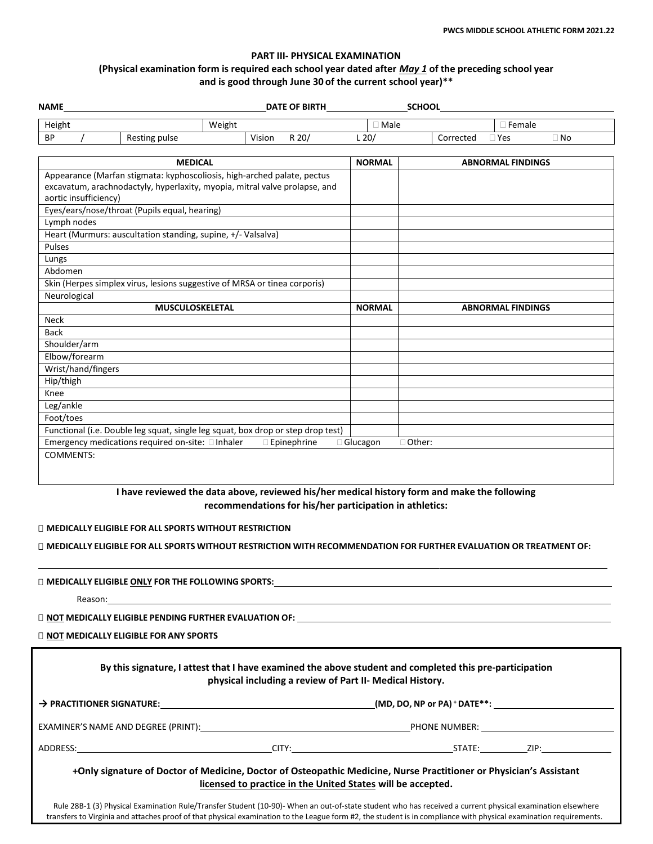# **PART III- PHYSICAL EXAMINATION (Physical examination form is required each school year dated after** *May 1* **of the preceding school year and is good through June 30 of the current school year)\*\***

| <b>NAME</b>           |                                                                                                                                                       |        |                       |                 | SCHOOL    |                          |           |
|-----------------------|-------------------------------------------------------------------------------------------------------------------------------------------------------|--------|-----------------------|-----------------|-----------|--------------------------|-----------|
| Height                | Weight                                                                                                                                                |        |                       | $\square$ Male  |           | $\Box$ Female            |           |
| <b>BP</b>             | Resting pulse                                                                                                                                         | Vision | R 20/                 | $L$ 20/         | Corrected | $\Box$ Yes               | $\Box$ No |
|                       | <b>MEDICAL</b>                                                                                                                                        |        |                       | <b>NORMAL</b>   |           | <b>ABNORMAL FINDINGS</b> |           |
| aortic insufficiency) | Appearance (Marfan stigmata: kyphoscoliosis, high-arched palate, pectus<br>excavatum, arachnodactyly, hyperlaxity, myopia, mitral valve prolapse, and |        |                       |                 |           |                          |           |
| Lymph nodes           | Eyes/ears/nose/throat (Pupils equal, hearing)                                                                                                         |        |                       |                 |           |                          |           |
| Pulses                | Heart (Murmurs: auscultation standing, supine, +/- Valsalva)                                                                                          |        |                       |                 |           |                          |           |
| Lungs                 |                                                                                                                                                       |        |                       |                 |           |                          |           |
| Abdomen               |                                                                                                                                                       |        |                       |                 |           |                          |           |
|                       | Skin (Herpes simplex virus, lesions suggestive of MRSA or tinea corporis)                                                                             |        |                       |                 |           |                          |           |
| Neurological          |                                                                                                                                                       |        |                       |                 |           |                          |           |
|                       | <b>MUSCULOSKELETAL</b>                                                                                                                                |        |                       | <b>NORMAL</b>   |           | <b>ABNORMAL FINDINGS</b> |           |
| Neck                  |                                                                                                                                                       |        |                       |                 |           |                          |           |
| <b>Back</b>           |                                                                                                                                                       |        |                       |                 |           |                          |           |
| Shoulder/arm          |                                                                                                                                                       |        |                       |                 |           |                          |           |
| Elbow/forearm         |                                                                                                                                                       |        |                       |                 |           |                          |           |
| Wrist/hand/fingers    |                                                                                                                                                       |        |                       |                 |           |                          |           |
| Hip/thigh             |                                                                                                                                                       |        |                       |                 |           |                          |           |
| Knee                  |                                                                                                                                                       |        |                       |                 |           |                          |           |
| Leg/ankle             |                                                                                                                                                       |        |                       |                 |           |                          |           |
| Foot/toes             |                                                                                                                                                       |        |                       |                 |           |                          |           |
|                       | Functional (i.e. Double leg squat, single leg squat, box drop or step drop test)                                                                      |        |                       |                 |           |                          |           |
|                       | Emergency medications required on-site: Inhaler                                                                                                       |        | $\square$ Epinephrine | $\Box$ Glucagon | □ Other:  |                          |           |
| <b>COMMENTS:</b>      | I have reviewed the data above, reviewed his/her medical history form and make the following                                                          |        |                       |                 |           |                          |           |

## **I have reviewed the data above, reviewed his/her medical history form and make the following recommendations for his/her participation in athletics:**

## **MEDICALLY ELIGIBLE FOR ALL SPORTS WITHOUT RESTRICTION**

## **MEDICALLY ELIGIBLE FOR ALL SPORTS WITHOUT RESTRICTION WITH RECOMMENDATION FOR FURTHER EVALUATION OR TREATMENT OF:**

**MEDICALLY ELIGIBLE ONLY FOR THE FOLLOWING SPORTS:**

Reason:

**NOT MEDICALLY ELIGIBLE PENDING FURTHER EVALUATION OF:**

**NOT MEDICALLY ELIGIBLE FOR ANY SPORTS**

|                                                                                                                                                            | physical including a review of Part II- Medical History. | By this signature, I attest that I have examined the above student and completed this pre-participation                                                                           |  |
|------------------------------------------------------------------------------------------------------------------------------------------------------------|----------------------------------------------------------|-----------------------------------------------------------------------------------------------------------------------------------------------------------------------------------|--|
|                                                                                                                                                            |                                                          |                                                                                                                                                                                   |  |
|                                                                                                                                                            |                                                          |                                                                                                                                                                                   |  |
|                                                                                                                                                            |                                                          |                                                                                                                                                                                   |  |
| Rule 288-1 (3) Physical Examination Rule (Transfer Student (10-90)- When an out-of-state student who bas received a current physical examination elsewhere |                                                          | +Only signature of Doctor of Medicine, Doctor of Osteopathic Medicine, Nurse Practitioner or Physician's Assistant<br>licensed to practice in the United States will be accepted. |  |

Rule 28B-1 (3) Physical Examination Rule/Transfer Student (10-90)- When an out-of-state student who has received a current physical examination elsewhere transfers to Virginia and attaches proof of that physical examination to the League form #2, the student is in compliance with physical examination requirements.